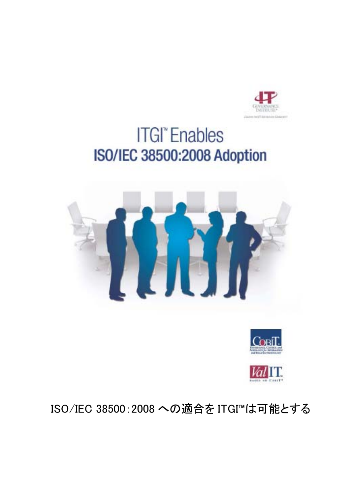

# **ITGI**<sup>\*</sup> Enables **ISO/IEC 38500:2008 Adoption**





ISO/IEC 38500:2008 への適合を ITGI™は可能とする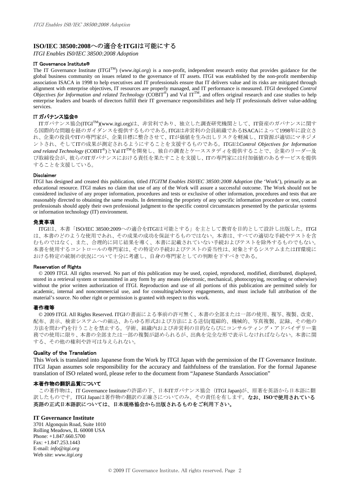# **ISO/IEC 38500:2008**への適合を**ITGI**は可能にする

*ITGI Enables IS0/IEC 38500:2008 Adoption*

#### IT Governance Institute®

The IT Governance Institute (ITGI<sup>TM</sup>) (*www.itgi.org*) is a non-profit, independent research entity that provides guidance for the global business community on issues related to the governance of IT assets. ITGI was established by the non-profit membership association ISACA in 1998 to help executives and IT professionals ensure that IT delivers value and its risks are mitigated through alignment with enterprise objectives, IT resources are properly managed, and IT performance is measured. ITGI developed *Control Objectives for Information and related Technology* (COBIT<sup>®</sup>) and Val IT<sup>TM</sup>, and offers original research and case studies to help enterprise leaders and boards of directors fulfill their IT governance responsibilities and help IT professionals deliver value-adding services.

#### IT ガバナンス協会®

ITガバナンス協会(ITGITM)(www.itgi.org)は、非営利であり、独立した調査研究機関として、IT資産のガバナンスに関す る国際的な問題を経のガイダンスを提供するものである。ITGIは非営利の会員組織であるISACAによって1998年に設立さ れ、企業の役員やITの専門家が、企業目標に整合させて、ITが価値を生み出しリスクを軽減し、IT資源が適切にマネジメ ントされ、そしてITの成果が測定されるようにすることを支援するものである。ITGIは*Control Objectives for Information and related Technology* (COBIT®)とVal ITTMを開発し、独自の調査とケーススタディを提供することで、企業のリーダー及 び取締役会が、彼らのITガバナンスにおける責任を果たすことを支援し、ITの専門家には付加価値のあるサービスを提供 することを支援している。

#### Disclaimer

ITGI has designed and created this publication, titled *ITGITM Enables IS0/IEC 38500:2008 Adoption* (the 'Work'), primarily as an educational resource. ITGI makes no claim that use of any of the Work will assure a successful outcome. The Work should not be considered inclusive of any proper information, procedures and tests or exclusive of other information, procedures and tests that are reasonably directed to obtaining the same results. In determining the propriety of any specific information procedure or test, control professionals should apply their own professional judgment to the specific control circumstances presented by the particular systems or information technology (IT) environment.

#### 免責事項

ITGIは、本書「ISO/IEC 38500:2009への適合をITGIは可能とする」を主として教育を目的として設計し出版した。ITGI は、本書のどのような使用であれ、その成果の成功を保証するものではない。本書は、すべての適切な手続やテストを含 むものではなく、また、合理的に同じ結果を導く、本書に記載されていない手続およびテストを除外するものでもない。 本書を使用するコントロールの専門家は、その特定の手続およびテストの妥当性は、対象とするシステムまたはIT環境に おける特定の統制の状況について十分に考慮し、自身の専門家としての判断を下すべきである。

#### Reservation of Rights

© 2009 ITGI. All rights reserved. No part of this publication may be used, copied, reproduced, modified, distributed, displayed, stored in a retrieval system or transmitted in any form by any means (electronic, mechanical, photocopying, recording or otherwise) without the prior written authorization of ITGI. Reproduction and use of all portions of this publication are permitted solely for academic, internal and noncommercial use, and for consulting/advisory engagements, and must include full attribution of the material's source. No other right or permission is granted with respect to this work.

#### 著作権等

© 2009 ITGI. All Rights Reserved. ITGIの書面による事前の許可無く、本書の全部または一部の使用、複写、複製、改変、 配布、表示、検索システムへの組込、あらゆる形式および方法による送信(電磁的、機械的、写真複製、記録、その他の 方法を問わず)を行うことを禁止する。学術、組織内および非営利の目的ならびにコンサルティング・アドバイザリー業 務での使用に限り、本書の全部または一部の複製が認められるが、出典を完全な形で表示しなければならない。本書に関 する、その他の権利や許可は与えられない。

#### Quality of the Translation

This Work is translated into Japanese from the Work by ITGI Japan with the permission of the IT Governance Institute. ITGI Japan assumes sole responsibility for the accuracy and faithfulness of the translation. For the formal Japanese translation of ISO related word, please refer to the document from "Japanese Standards Association"

#### 本著作物の翻訳品質について

この著作物は、IT Governance Instituteの許諾の下、日本ITガバナンス協会(ITGI Japan)が、原著を英語から日本語に翻 訳したものです。ITGI Japanは著作物の翻訳の正確さについてのみ、その責任を有します。なお、**ISO**で使用されている 英語の正式日本語訳については、日本規格協会から出版されるものをご利用下さい。

## **IT Governance Institute**

3701 Algonquin Road, Suite 1010 Rolling Meadows, IL 60008 USA Phone: +1.847.660.5700 Fax: +1.847.253.1443 E-mail: *info@itgi.org*  Web site: *www.itgi.org*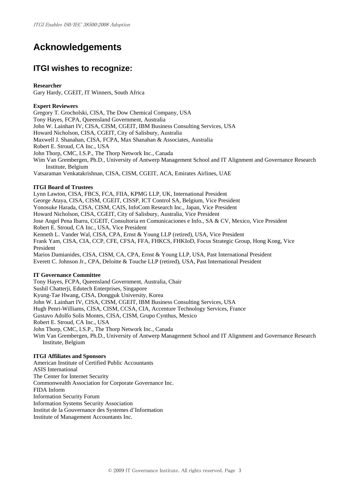# **Acknowledgements**

# **ITGI wishes to recognize:**

## **Researcher**

Gary Hardy, CGEIT, IT Winners, South Africa

## **Expert Reviewers**

Gregory T. Grocholski, CISA, The Dow Chemical Company, USA Tony Hayes, FCPA, Queensland Government, Australia John W. Lainhart IV, CISA, CISM, CGEIT, IBM Business Consulting Services, USA Howard Nicholson, CISA, CGEIT, City of Salisbury, Australia Maxwell J. Shanahan, CISA, FCPA, Max Shanahan & Associates, Australia Robert E. Stroud, CA Inc., USA John Thorp, CMC, I.S.P., The Thorp Network Inc., Canada Wim Van Grembergen, Ph.D., University of Antwerp Management School and IT Alignment and Governance Research Institute, Belgium Vatsaraman Venkatakrishnan, CISA, CISM, CGEIT, ACA, Emirates Airlines, UAE **ITGI Board of Trustees** 

Lynn Lawton, CISA, FBCS, FCA, FIIA, KPMG LLP, UK, International President George Ataya, CISA, CISM, CGEIT, CISSP, ICT Control SA, Belgium, Vice President Yonosuke Harada, CISA, CISM, CAIS, InfoCom Research Inc., Japan, Vice President Howard Nicholson, CISA, CGEIT, City of Salisbury, Australia, Vice President Jose Angel Pena Ibarra, CGEIT, Consultoria en Comunicaciones e Info., SA & CV, Mexico, Vice President Robert E. Stroud, CA Inc., USA, Vice President Kenneth L. Vander Wal, CISA, CPA, Ernst & Young LLP (retired), USA, Vice President Frank Yam, CISA, CIA, CCP, CFE, CFSA, FFA, FHKCS, FHKIoD, Focus Strategic Group, Hong Kong, Vice President Marios Damianides, CISA, CISM, CA, CPA, Ernst & Young LLP, USA, Past International President Everett C. Johnson Jr., CPA, Deloitte & Touche LLP (retired), USA, Past International President

## **IT Governance Committee**

Tony Hayes, FCPA, Queensland Government, Australia, Chair Sushil Chatterji, Edutech Enterprises, Singapore Kyung-Tae Hwang, CISA, Dongguk University, Korea John W. Lainhart IV, CISA, CISM, CGEIT, IBM Business Consulting Services, USA Hugh Penri-Williams, CISA, CISM, CCSA, CIA, Accenture Technology Services, France Gustavo Adolfo Solis Montes, CISA, CISM, Grupo Cynthus, Mexico Robert E. Stroud, CA Inc., USA John Thorp, CMC, I.S.P., The Thorp Network Inc., Canada Wim Van Grembergen, Ph.D., University of Antwerp Management School and IT Alignment and Governance Research Institute, Belgium

## **ITGI Affiliates and Sponsors**

American Institute of Certified Public Accountants ASIS International The Center for Internet Security Commonwealth Association for Corporate Governance Inc. FIDA Inform Information Security Forum Information Systems Security Association Institut de la Gouvernance des Systemes d'Information Institute of Management Accountants Inc.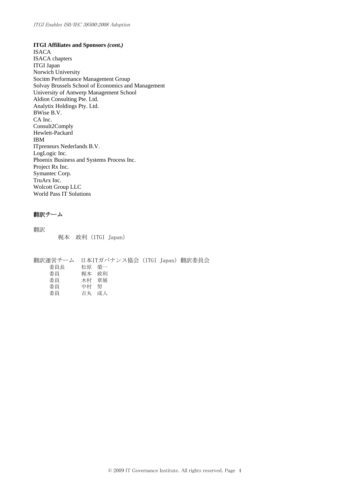**ITGI Affiliates and Sponsors** *(cont.)* 

ISACA ISACA chapters ITGI Japan Norwich University Socitm Performance Management Group Solvay Brussels School of Economics and Management University of Antwerp Management School Aldion Consulting Pte. Ltd. Analytix Holdings Pty. Ltd. BWise B.V. CA Inc. Consult2Comply Hewlett-Packard IBM ITpreneurs Nederlands B.V. LogLogic Inc. Phoenix Business and Systems Process Inc. Project Rx Inc. Symantec Corp. TruArx Inc. Wolcott Group LLC World Pass IT Solutions

## 翻訳チーム

翻訳 梶本 政利(ITGI Japan)

翻訳運営チーム 日本ITガバナンス協会(ITGI Japan)翻訳委員会 委員長 松原 榮一 **委員 梶本 政利**  委員 木村 章展 委員 中村 努 委員 吉丸 成人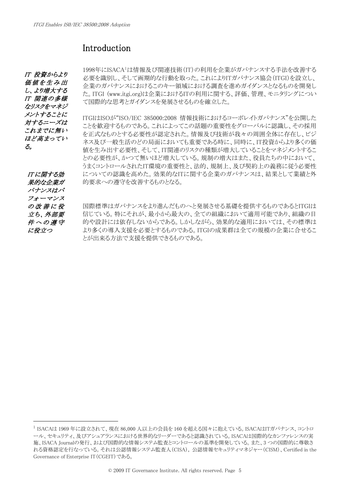# Introduction

IT 投資からより 価値を生み出 し、より増大する IT 関連の多様 なリスクをマネジ メントすることに 対するニーズは これまでに無い ほど高まってい る。

[1](#page-4-0)998年にISACA<sup>1</sup>は情報及び関連技術(IT)の利用を企業がガバナンスする手法を改善する 必要を識別し、そして画期的な行動を取った。これによりITガバナンス協会(ITGI)を設立し、 企業のガバナンスにおけるこのキー領域における調査を進めガイダンスとなるものを開発し た。ITGI ([www.itgi.org\)](http://www.itgi.org/)は企業におけるITの利用に関する、評価、管理、モニタリングについ て国際的な思考とガイダンスを発展させるものを確立した。

ITGIはISOが"ISO/IEC 385000:2008 情報技術におけるコーポレイトガバナンス"を公開した ことを歓迎するものである。これによってこの話題の重要性をグローバルに認識し、その採用 を正式なものとする必要性が認定された。情報及び技術が我々の周囲全体に存在し、ビジ ネス及び一般生活のどの局面においても重要である時に、同時に、IT投資からより多くの価 値を生み出す必要性、そして、IT関連のリスクの種類が増大していることをマネジメントするこ との必要性が、かつて無いほど増大している。規制の増大はまた、役員たちの中において、 うまくコントロールされたIT環境の重要性と、法的、規制上、及び契約上の義務に従う必要性 についての認識を高めた。効果的なITに関する企業のガバナンスは、結果として業績と外 的要求への遵守を改善するものとなる。

IT に関する効 果的な企業ガ バナンスはパ フォーマンス の改善に役 立ち、外部要 件への遵守 に役立つ

 $\overline{a}$ 

国際標準はガバナンスをより進んだものへと発展させる基礎を提供するものであるとITGIは 信じている。特にそれが、最小から最大の、全ての組織において適用可能であり、組織の目 的や設計には依存しないからである。しかしながら、効果的な適用においては、その標準は より多くの導入支援を必要とするものである。ITGIの成果群は全ての規模の企業に合せるこ とが出来る方法で支援を提供できるものである。

<span id="page-4-0"></span><sup>1</sup> ISACAは 1969 年に設立されて、現在 86,000 人以上の会員を 160 を超える国々に抱えている。ISACAはITガバナンス、コントロ ール、セキュリティ、及びアシュアランスにおける世界的なリーダーであると認識されている。ISACAは国際的なカンファレンスの実 施、ISACA Journalの発行、および国際的な情報システム監査とコントロールの基準を開発している。また、3 つの国際的に尊敬さ れる資格認定を行なっている。それは公認情報システム監査人(CISA), 公認情報セキュリティマネジャー(CISM)、Certified in the Governance of Enterprise IT(CGEIT)である。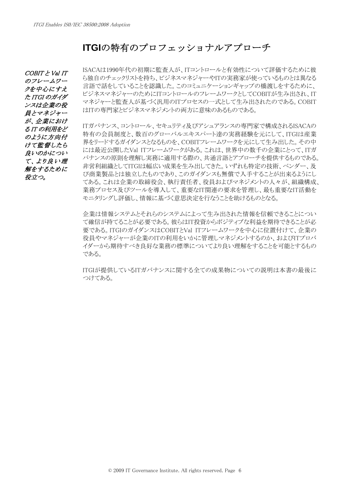# **ITGI**の特有のプロフェッショナルアプローチ

COBIT と Val IT のフレームワー クを中心にすえ た ITGI のガイダ ンスは企業の役 員とマネジャー が、企業におけ る IT の利用をど のように方向付 けて監督したら 良いのかについ て、より良い理 解をするために 役立つ。

ISACAは1990年代の初期に監査人が、ITコントロールと有効性について評価するために彼 ら独自のチェックリストを持ち、ビジネスマネジャーやITの実務家が使っているものとは異なる 言語で話をしていることを認識した。このコミュニケーションギャップの橋渡しをするために、 ビジネスマネジャーのためにITコントロールのフレームワークとしてCOBITが生み出され、IT マネジャーと監査人が基づく汎用のITプロセスの一式として生み出されたのである。COBIT はITの専門家とビジネスマネジメントの両方に意味のあるものである。

ITガバナンス、コントロール、セキュリティ及びアシュアランスの専門家で構成されるISACAの 特有の会員制度と、数百のグローバルエキスパート達の実務経験を元にして、ITGIは産業 界をリードするガイダンスとなるものを、COBITフレームワークを元にして生み出した。その中 には最近公開したVal ITフレームワークがある。これは、世界中の数千の企業にとって、ITガ バナンスの原則を理解し実務に適用する際の、共通言語とアプローチを提供するものである。 非営利組織としてITGIは幅広い成果を生み出してきた。いずれも特定の技術、ベンダー、及 び商業製品とは独立したものであり、このガイダンスも無償で入手することが出来るようにし てある。これは企業の取締役会、執行責任者、役員およびマネジメントの人々が、組織構成、 業務プロセス及びツールを導入して、重要なIT関連の要求を管理し、最も重要なIT活動を モニタリングし評価し、情報に基づく意思決定を行なうことを助けるものとなる。

企業は情報システムとそれらのシステムによって生み出された情報を信頼できることについ て確信が持てることが必要である。彼らはIT投資からポジティブな利益を期待できることが必 要である。ITGIのガイダンスはCOBITとVal ITフレームワークを中心に位置付けて、企業の 役員やマネジャーが企業のITの利用をいかに管理しマネジメントするのか、およびITプロバ イダーから期待すべき良好な業務の標準についてより良い理解をすることを可能とするもの である。

ITGIが提供しているITガバナンスに関する全ての成果物についての説明は本書の最後に つけてある。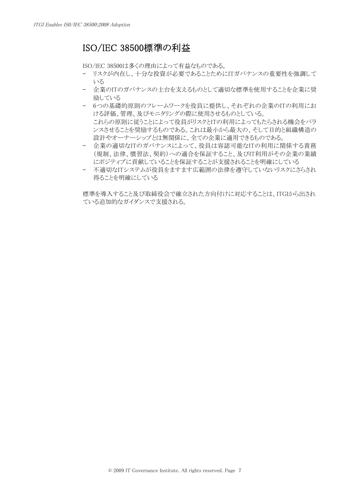# ISO/IEC 38500標準の利益

ISO/IEC 38500は多くの理由によって有益なものである。

- リスクが内在し、十分な投資が必要であることためにITガバナンスの重要性を強調して いる
- 企業のITのガバナンスの土台を支えるものとして適切な標準を使用することを企業に奨 励している
- 6つの基礎的原則のフレームワークを役員に提供し、それぞれの企業のITの利用にお ける評価、管理、及びモニタリングの際に使用させるものとしている。 これらの原則に従うことによって役員がリスクとITの利用によってもたらされる機会をバラ ンスさせることを奨励するものである。これは最小から最大の、そして目的と組織構造の 設計やオーナーシップとは無関係に、全ての企業に適用できるものである。
- 企業の適切なITのガバナンスによって、役員は容認可能なITの利用に関係する責務 (規制、法律、慣習法、契約)への適合を保証すること、及びIT利用がその企業の業績 にポジティブに貢献していることを保証することが支援されることを明確にしている
- 不適切なITシステムが役員をますます広範囲の法律を遵守していないリスクにさらされ 得ることを明確にしている

標準を導入すること及び取締役会で確立された方向付けに対応することは、ITGIから出され ている追加的なガイダンスで支援される。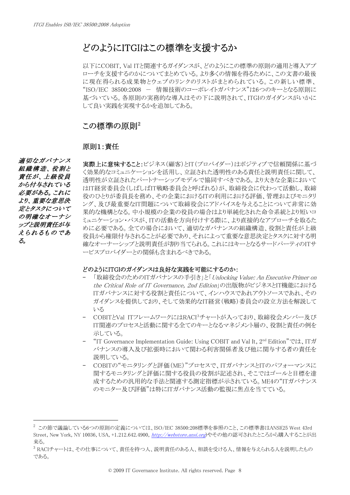# どのようにITGIはこの標準を支援するか

以下にCOBIT, Val ITと関連するガイダンスが、どのようにこの標準の原則の適用と導入アプ ローチを支援するのかについてまとめている。より多くの情報を得るために、この文書の最後 に現在得られる成果物とウェブのリンクのリストがまとめられている。この新しい標準、 "ISO/IEC 38500:2008 - 情報技術のコーポレイトガバナンス"は6つのキーとなる原則に 基づいている。各原則の実務的な導入はその下に説明されて、ITGIのガイダンスがいかに して良い実践を実現するかを追加してある。

# この標準の原則<sup>[2](#page-7-0)</sup>

# 原則1:責任

 適切なガバナンス 組織構造、役割と 責任が、上級役員 から付与されている 必要がある。これに より、重要な意思決 定とタスクについて の明確なオーナシ ップと説明責任が与 えられるものであ る。

 $\overline{a}$ 

実際上に意味すること:ビジネス(顧客)とIT(プロバイダー)はポジティブで信頼関係に基づ く効果的なコミュニケーションを活用し、立証された透明性のある責任と説明責任に関して、 透明性が立証されたパートナーシップモデルで協同すべきである。より大きな企業において はIT経営委員会(しばしばIT戦略委員会と呼ばれる)が、取締役会に代わって活動し、取締 役のひとりが委員長を務め、その企業におけるITの利用における評価、管理およびモニタリ ング、及び最重要なIT問題について取締役会にアドバイスを与えることについて非常に効 果的な機構となる。中小規模の企業の役員の場合はより単純化された命令系統とより短いコ ミュニケーション・パスが、ITの活動を方向付けする際に、より直接的なアプローチを取るた めに必要である。全ての場合において、適切なガバナンスの組織構造、役割と責任が上級 役員から権限付与されることが必要であり、それによって重要な意思決定とタスクに対する明 確なオーナーシップと説明責任が割り当てられる。これにはキーとなるサードパーティのITサ ービスプロバイダーとの関係も含まれるべきである。

# どのようにITGIのガイダンスは良好な実践を可能にするのか:

- 「取締役会のためのITガバナンスの手引き」と「Unlocking Value: An Executive Primer on the Critical Role of IT Governance, 2nd Edition」の出版物がビジネスとIT機能における ITガバナンスに対する役割と責任について、インハウスであれアウトソースであれ、その ガイダンスを提供しており、そして効果的なIT経営(戦略)委員会の設立方法を解説して いる
- COBITとVal ITフレームワークにはRACI<sup>[3](#page-7-1)</sup>チャートが入っており、取締役会メンバー及び IT関連のプロセスと活動に関する全てのキーとなるマネジメント層の、役割と責任の例を 示している。
- "IT Governance Implementation Guide: Using COBIT and Val It,  $2<sup>nd</sup>$  Edition" では、ITガ バナンスの導入及び拡張時において関わる利害関係者及び他に関与する者の責任を 説明している。
- COBITの"モニタリングと評価(ME)"プロセスで、ITガバナンスとITのパフォーマンスに 関するモニタリングと評価に関する役員の役割が記述され、そこではゴールと目標を達 成するための汎用的な手法と関連する測定指標が示されている。ME4の"ITガバナンス のモニター及び評価"は特にITガバナンス活動の監視に焦点を当てている。

<span id="page-7-0"></span><sup>2</sup> この節で議論している6つの原則の定義については、ISO/IEC 38500:208標準を参照のこと、この標準書はANSI(25 West 43rd Street, New York, NY 10036, USA, +1.212.642.4900, [http://webstore.ansi.org](http://webstore.ansi.org/))やその他の認可されたところから購入することが出 来る。

<span id="page-7-1"></span> $3$  RACIチャートは、その仕事について、責任を持つ人、説明責任のある人、相談を受ける人、情報を与えられる人を説明したもの である。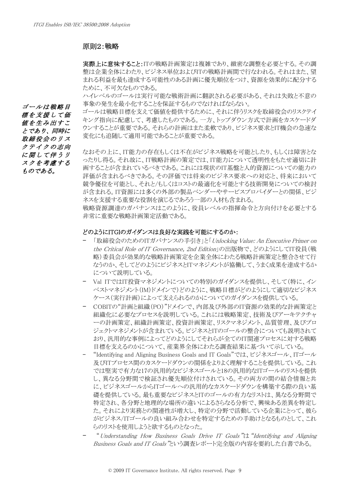# 原則2:戦略

実際上に意味すること:ITの戦略計画策定は複雑であり、緻密な調整を必要とする。その調 整は企業全体にわたり、ビジネス単位およびITの戦略計画間で行なわれる。それはまた、望 まれる利益を最も達成する可能性のある計画に優先順位をつけ、資源を効果的に配分する ために、不可欠なものである。

ハイレベルのゴールは実行可能な戦術計画に翻訳される必要がある、それは失敗と不意の ゴールは戦略目 事象の発生を最小化することを保証するものでなければならない。

ゴールは戦略目標を支えて価値を提供するために、それに伴うリスクを取締役会のリスクテイ キング指向に配慮して、考慮したものである。一方、トップダウン方式で計画をカスケードダ ウンすることが重要である。それらの計画はまた柔軟であり、ビジネス要求とIT機会の急速な 変化にも追随して適用可能であることが重要である。

なおその上に、IT能力の存在もしくは不在がビジネス戦略を可能としたり、もしくは障害とな ったりし得る。それ故に、IT戦略計画の策定では、IT能力について透明性をもたせ適切に計 画することが含まれているべきである。これには現状のIT基盤と人的資源についての能力の 評価が含まれるべきである。その評価では将来のビジネス要求への対応と、将来において 競争優位を可能とし、それと/もしくはコストの最適化を可能とする技術開発についての検討 が含まれる。IT資源には多くの外部の製品ベンダーやサービスプロバイダーとの関係、ビジ ネスを支援する重要な役割を演じるであろう一部の人材も含まれる。

戦略資源調達のガバナンスはこのように、役員レベルの指揮命令と方向付けを必要とする 非常に重要な戦略計画策定活動である。

# どのようにITGIのガイダンスは良好な実践を可能にするのか:

- 「取締役会のためのITガバナンスの手引き」と「Unlocking Value: An Executive Primer on the Critical Role of IT Governance, 2nd Edition<sup>1</sup>の出版物で、どのようにしてIT役員(戦 略)委員会が効果的な戦略計画策定を企業全体にわたる戦略計画策定と整合させて行 なうのか、そしてどのようにビジネスとITマネジメントが協働して、うまく成果を達成するか について説明している。
- Val ITではIT投資マネジメントについての特別のガイダンスを提供し、そして(特に、イン ベストマネジメント(IM)ドメインで)どのように、戦略目標がどのようにして適切なビジネス ケース(実行計画)によって支えられるのかについてのガイダンスを提供している。
- COBITの"計画と組織(PO)"ドメインで、内部及び外部のIT資源の効果的な計画策定と 組織化に必要なプロセスを説明している。これには戦略策定、技術及びアーキテクチャ ーの計画策定、組織計画策定、投資計画策定、リスクマネジメント、品質管理、及びプロ ジェクトマネジメントが含まれている。ビジネスとITのゴールの整合についても説明されて おり、汎用的な事例によってどのようにしてそれらが全てのIT関連プロセスに対する戦略 目標を支えるのかについて、産業界全体にわたる調査結果に基づいて示している。
- "Identifying and Aligning Business Goals and IT Goals"では、ビジネスゴール、ITゴール 及びITプロセス間のカスケードダウンの関係をよりよく理解することを提供している。これ では堅実で有力な17の汎用的なビジネスゴールと18の汎用的なITゴールのリストを提供 し、異なる分野間で検証され優先順位付けされている。その両方の間の結合情報と共 に、ビジネスゴールからITゴールへの汎用的なカスケードダウンを構築する際の良い基 礎を提供している。最も重要なビジネスとITのゴールの有力なリストは、異なる分野間で 特定され、各分野と地理的な場所の違いによるさらなる分析で、興味ある差異を特定し た。それにより実務との関連性が増大し、特定の分野で活動している企業にとって、彼ら がビジネス/ITゴールの良い組み合わせを特定するための手助けとなるものとして、これ らのリストを使用しようと欲するものとなった。
- " Understanding How Business Goals Drive IT Goals" (t "Identifying and Aligning") Business Goals and IT Goals"という調査レポート完全版の内容を要約した白書である。

標を支援して価 値を生み出すこ とであり、同時に 取締役会のリス クテイクの志向 に関して伴うリ スクを考慮する ものである。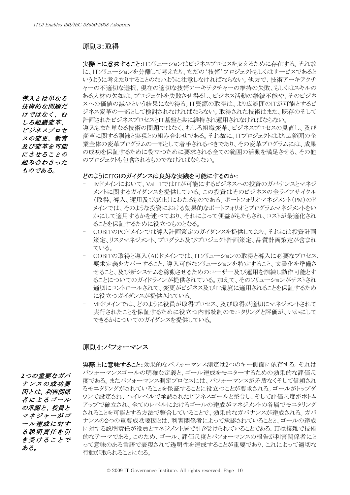導入とは単なる 技術的な問題だ けではなく、む しろ組織変革、 ビジネスプロセ スの変更、教育 及び変革を可能 にさせることの 組み合わさった ものである。

# 原則3:取得

実際上に意味すること:ITソリューションはビジネスプロセスを支えるために存在する。それ故 に、ITソリューションを分離して考えたり、ただの'技術'プロジェクトもしくはサービスであると いうように考えたりすることのないように注意しなければならない。他方で、技術アーキテクチ ャーの不適切な選択、現在の適切な技術アーキテクチャーの維持の失敗、もしくはスキルの ある人材の欠如は、プロジェクトを失敗させ得るし、ビジネス活動の継続不能や、そのビジネ スへの価値の減少という結果になり得る。IT資源の取得は、より広範囲のITが可能とするビ ジネス変革の一部として検討されなければならない。取得された技術はまた、既存のそして 計画されたビジネスプロセスとIT基盤と共に維持され運用されなければならない。 導入もまた単なる技術の問題ではなく、むしろ組織変革、ビジネスプロセスの見直し、及び 変革に関する訓練と実現との組み合わせである。それ故に、ITプロジェクトはより広範囲の企 業全体の変革プログラムの一部として着手されるべきであり、その変革プログラムには、成果

の成功を保証するために役立っために要求される全ての範囲の活動を満足させる、その他

どのようにITGIのガイダンスは良好な実践を可能にするのか:

のプロジェクトも包含されるものでなければならない。

- IMドメインにおいて、Val ITではITが可能にするビジネスへの投資のガバナンスとマネジ メントに関するガイダンスを提供している。この投資はそのビジネスの全ライフサイクル (取得、導入、運用及び廃止)にわたるものである。ポートフォリオマネジメント(PM)のド メインでは、そのような投資における効果的なポートフォリオとプログラムマネジメントをい かにして適用するかを述べており、それによって便益がもたらされ、コストが最適化され ることを保証するために役立つものとなる。
- COBITのPOドメインでは導入計画策定のガイダンスを提供しており、それには投資計画 策定、リスクマネジメント、プログラム及びプロジェクト計画策定、品質計画策定が含まれ ている。
- COBITの取得と導入(AI)ドメインでは、ITソリューションの取得と導入に必要なプロセス、 要求定義をカバーすること、導入可能なソリューションを特定すること、文書化を準備さ せること、及び新システムを稼動させるためのユーザー及び運用を訓練し動作可能とす ることについてのガイドラインが提供されている。加えて、そのソリューションがテストされ 適切にコントロールされて、変更がビジネス及びIT環境に適用されることを保証するため に役立つガイダンスが提供されている。
- MEドメインでは、どのように役員が取得プロセス、及び取得が適切にマネジメントされて 実行されたことを保証するために役立つ内部統制のモニタリングと評価が、いかにして できるかについてのガイダンスを提供している。

# 原則4:パフォーマンス

*2*つの重要なガバ ナンスの成功要 因とは、利害関係 者によるゴール の承認と、役員と マネジャーがゴ ール達成に対す る説明責任を引 き受けることで ある。

実際上に意味すること:効果的なパフォーマンス測定は2つのキー側面に依存する。それは パフォーマンスゴールの明確な定義と、ゴール達成をモニターするための効果的な評価尺 度である。またパフォーマンス測定プロセスには、パフォーマンスが矛盾なくそして信頼され るモニタリングがされていることを保証することに役立つことが要求される。ゴールがトップダ ウンで設定され、ハイレベルで承認されたビジネスゴールと整合し、そして評価尺度がボトム アップで確立され、全てのレベルにおけるゴールの達成がマネジメントの各層でモニタリング されることを可能とする方法で整合していることで、効果的なガバナンスが達成される。ガバ ナンスの2つの重要成功要因とは、利害関係者によって承認されていることと、ゴールの達成 に対する説明責任が役員とマネジメント層で引き受けられていることである。ITは複雑で技術 的なテーマである。このため、ゴール、評価尺度とパフォーマンスの報告が利害関係者にと って意味のある言語で表現されて透明性を達成することが重要であり、これによって適切な 行動が取られることになる。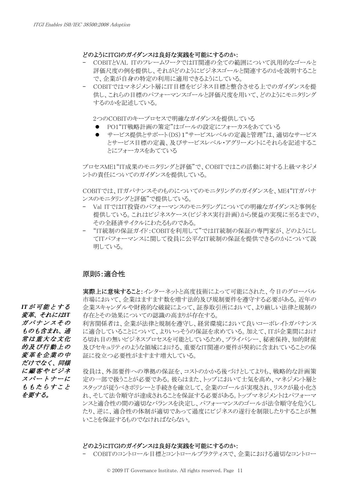# どのようにITGIのガイダンスは良好な実践を可能にするのか:

- COBITとVAL ITのフレームワークではIT関連の全ての範囲について汎用的なゴールと 評価尺度の例を提供し、それがどのようにビジネスゴールと関連するのかを説明すること で、企業が自身の特定の利用に適用できるようにしている。
- COBITではマネジメント層にIT目標をビジネス目標と整合させる上でのガイダンスを提 供し、これらの目標のパフォーマンスゴールと評価尺度を用いて、どのようにモニタリング するのかを記述している。

2つのCOBITのキープロセスで明確なガイダンスを提供している

- PO1"IT戦略計画の策定"はゴールの設定にフォーカスをあてている
- サービス提供とサポート(DS)1"サービスレベルの定義と管理"は、適切なサービス とサービス目標の定義、及びサービスレベル・アグリーメントにそれらを記述するこ とにフォーカスをあてている

プロセスME1"IT成果のモニタリングと評価"で、COBITではこの活動に対する上級マネジメ ントの責任についてのガイダンスを提供している。

COBITでは、ITガバナンスそのものについてのモニタリングのガイダンスを、ME4"ITガバナ ンスのモニタリングと評価"で提供している。

- Val ITではIT投資のパフォーマンスのモニタリングについての明確なガイダンスと事例を 提供している。これはビジネスケース(ビジネス実行計画)から便益の実現に至るまでの、 その全経済サイクルにわたるものである。
- "IT統制の保証ガイド:COBITを利用して"ではIT統制の保証の専門家が、どのようにし てITパフォーマンスに関して役員に公平なIT統制の保証を提供できるのかについて説 明している。

# 原則5:適合性

実際上に意味すること:インターネットと高度技術によって可能にされた、今日のグローバル 市場において、企業はますます数を増す法的及び規制要件を遵守する必要がある。近年の 企業スキャンダルや財務的な破綻によって、証券取引所において、より厳しい法律と規制の 存在とその効果についての認識の高まりが存在する。

利害関係者は、企業が法律と規制を遵守し、経営環境において良いコーポレイトガバナンス に適合していることについて、よりいっそうの保証を求めている。加えて、ITが企業間におけ る切れ目の無いビジネスプロセスを可能としているため、プライバシー、秘密保持、知的財産 及びセキュリティのような領域における、重要なIT関連の要件が契約に含まれていることの保 証に役立つ必要性がますます増大している。

役員は、外部要件への準拠の保証を、コストのかかる後づけとしてよりも、戦略的な計画策 定の一部で扱うことが必要である。彼らはまた、トップにおいて士気を高め、マネジメント層と スタッフが従うべきポリシーと手続きを確立して、企業のゴールが実現され、リスクが最小化さ れ、そして法令順守が達成されることを保証する必要がある。トップマネジメントはパフォーマ ンスと適合性の間の適切なバランスを決定し、パフォーマンスのゴールが法令順守を危うくし たり、逆に、適合性の体制が適切であって過度にビジネスの遂行を制限したりすることが無 いことを保証するものでなければならない。

## どのようにITGIのガイダンスは良好な実践を可能にするのか:

- COBITのコントロール目標とコントロールプラクティスで、企業における適切なコントロー

*IT*が可能とする 変革、それには*IT* ガバナンスその ものも含まれ、通 常は重大な文化 的及び行動上の 変革を企業の中 だけでなく、同様 に顧客やビジネ スパートナーに ももたらすこと を要する。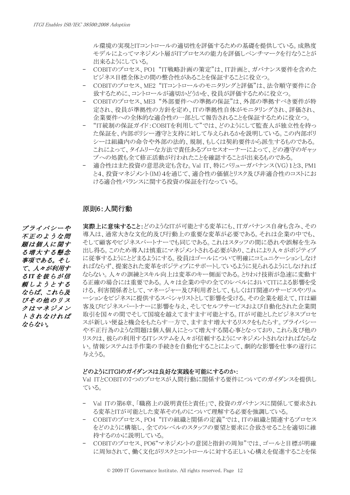ル環境の実現とITコントロールの適切性を評価するための基礎を提供している。成熟度 モデルによってマネジメント層がITプロセスの能力を評価しベンチマークを行なうことが 出来るようにしている。

- COBITのプロセス、PO1 "IT戦略計画の策定"は、IT計画と、ガバナンス要件を含めた ビジネス目標全体との間の整合性があることを保証することに役立つ。
- COBITのプロセス、ME2 "ITコントロールのモニタリングと評価"は、法令順守要件に合 致するために、コントロールが適切かどうかを、役員が評価するために役立つ。
- COBITのプロセス、ME3 "外部要件への準拠の保証"は、外部の準拠すべき要件が特 定され、役員が準拠性の方針を定め、ITの準拠性自体がモニタリングされ、評価され、 企業要件への全体的な適合性の一部として報告されることを保証するために役立つ。
- "IT統制の保証ガイド:COBITを利用して"では、どのようにして監査人が独立性を持っ た保証を、内部ポリシー遵守と支持に対して与えられるかを説明している。この内部ポリ シーは組織内の命令や外部の法的、規制、もしくは契約要件から派生するものである。 これによって、タイムリーな方法で責任あるプロセスオーナーによって、どの遵守のギャッ プへの処置も全て修正活動が行われたことを確認することが出来るものである。
- 適合性はまた投資の意思決定も含む。Val IT、特にバリューガバナンス(VG)1と3、PM1 と4、投資マネジメント(IM)4を通じて、適合性の価値とリスク及び非適合性のコストにお ける適合性バランスに関する投資の保証を行なっている。

# 原則6:人間行動

プライバシーや 不正のような問 題は個人に関す る増大する懸念 事項である。そし て、人々が利用す る*IT*を彼らが信 頼しようとする ならば、これら及 びその他のリス クはマネジメン トされなければ ならない。

実際上に意味すること:どのようなITが可能とする変革にも、ITガバナンス自身も含み、その 導入は、通常大きな文化的及び行動上の重要な変革が必要である。それは企業の中でも、 そして顧客やビジネスパートナーでも同じである。これはスタッフの間に恐れや誤解を生み 出し得る。このため導入は慎重にマネジメントされる必要があり、これにより人々がポジティブ に従事するようにとどまるようにする。役員はゴールについて明確にコミュニケーションしなけ ればならず、提案された変革をポジティブにサポートしているように見られるようにしなければ ならない。人々の訓練とスキル向上は変革のキー側面である。とりわけ技術が急速に変動す る正確の場合には重要である。人々は企業の中の全てのレベルにおいてITによる影響を受 ける、利害関係者として、マネージャー及び利用者として、もしくはIT関連のサービスやソリュ ーションをビジネスに提供するスペシャリストとして影響を受ける。その企業を超えて、ITは顧 客及びビジネスパートナーに影響を与え、そしてセルフサービスおよび自動化された企業間 取引を国々の間でそして国境を越えてますます可能とする。ITが可能としたビジネスプロセ スが新しい便益と機会をもたらす一方で、ますます増大するリスクをもたらす。プライバシー や不正行為のような問題は個人個人にとって増大する関心事となっており、これら及び他の リスクは、彼らの利用するITシステムを人々が信頼するようにマネジメントされなければならな い。情報システムは手作業の手続きを自動化することによって、劇的な影響を仕事の遂行に 与えうる。

# どのようにITGIのガイダンスは良好な実践を可能にするのか:

Val ITとCOBITの7つのプロセスが人間行動に関係する要件についてのガイダンスを提供し ている。

- Val ITの第6章、「職務上の説明責任と責任」で、投資のガバナンスに関係して要求され る変革とITが可能とした変革そのものについて理解する必要を強調している。
- COBITのプロセス、PO4 "ITの組織と関係の定義"では、ITの組織と関連するプロセス をどのように構築し、全てのレベルのスタッフの要望と要求に合致させることを適切に維 持するのかに説明している。
- COBITのプロセス、PO6"マネジメントの意図と指針の周知"では、ゴールと目標が明確 に周知されて、働く文化がリスクとコントロールに対する正しい心構えを促進することを保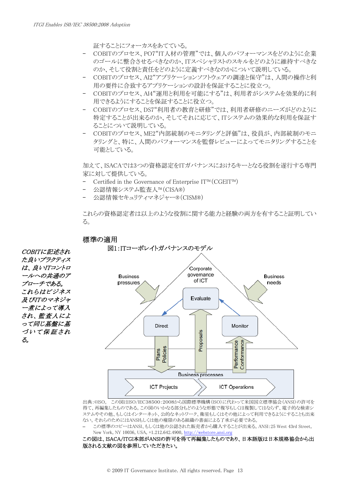証することにフォーカスをあてている。

- COBITのプロセス、PO7"IT人材の管理"では、個人のパフォーマンスをどのように企業 のゴールに整合させるべきなのか、ITスペシャリストのスキルをどのように維持すべきな のか、そして役割と責任をどのように定義すべきなのかについて説明している。
- COBITのプロセス、AI2"アプリケーションソフトウェアの調達と保守"は、人間の操作と利 用の要件に合致するアプリケーションの設計を保証することに役立つ。
- COBITのプロセス、AI4"運用と利用を可能にする"は、利用者がシステムを効果的に利 用できるようにすることを保証することに役立つ。
- COBITのプロセス、DS7"利用者の教育と研修"では、利用者研修のニーズがどのように 特定することが出来るのか、そしてそれに応じて、ITシステムの効果的な利用を保証す ることについて説明している。
- COBITのプロセス、ME2"内部統制のモニタリングと評価"は、役員が、内部統制のモニ タリングと、特に、人間のパフォーマンスを監督レビューによってモニタリングすることを 可能としている。

加えて、ISACAでは3つの資格認定をITガバナンスにおけるキーとなる役割を遂行する専門 家に対して提供している。

- Certified in the Governance of Enterprise IT™(CGEIT™)
- 公認情報システム監査人™(CISA®)

標準の適用

- 公認情報セキュリティマネジャー®(CISM®)

これらの資格認定者は以上のような役割に関する能力と経験の両方を有すること証明してい る。



出典:©ISO。 この図はISO/IEC38500:2008から国際標準機構(ISO)に代わって米国国立標準協会(ANSI)の許可を 得て、再編集したものである。この図のいかなる部分もどのような形態で複写もしくは複製してはならず、電子的な検索シ ステムやその他、もしくはインターネット、公的なネットワーク、衛星もしくはその他によって利用できるようにすることも出来 ない。それらのためにはANSIもしくは他の権限のある組織の書面による了承が必要である。

– この標準のコピーはANSI、もしくは他の公認された販売者から購入することが出来る。ANSI:25 West 43rd Street, New York, NY 10036, USA, +1.212.642.4900, [http://webstore.ansi.org](http://webstore.ansi.org/)

この図は、ISACA/ITGI本部がANSIの許可を得て再編集したものであり、日本語版は日本規格協会から出 版される文献の図を参照していただきたい。

た良いプラクティス は、良いITコントロ ールへの共通のア プローチである。 これらはビジネス 及びITのマネジャ ー煮によって導入 され、監査人によ って同じ基盤に基 づいて保証され る。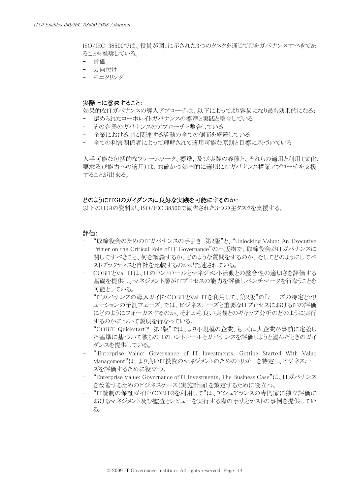ISO/IEC 38500では、役員が図1に示された3つのタスクを通じてITをガバナンスすべきであ ることを推奨している。

- 評価
- 方向付け
- モニタリング

#### 実際上に意味すること:

効果的なITガバナンスの導入アプローチは、以下によってより容易になり最も効果的になる:

- 認められたコーポレイトガバナンスの標準と実践と整合している
- その企業のガバナンスのアプローチと整合している
- 企業におけるITに関連する活動の全ての側面を網羅している
- 全ての利害関係者によって理解されて適用可能な原則と目標に基づいている

入手可能な包括的なフレームワーク、標準,及び実践の参照と、それらの適用と利用(文化、 要求及び能力への適用)は、的確かつ効率的に適切にITガバナンス構築アプローチを支援 することが出来る。

# どのようにITGIのガイダンスは良好な実践を可能にするのか:

以下のITGIの資料が、ISO/IEC 38500で勧告された3つの主タスクを支援する。

## 評価:

- "取締役会のためのITガバナンスの手引き 第2版"と、"Unlocking Value: An Executive Primer on the Critical Role of IT Governance"の出版物で、取締役会がITガバナンスに 関してすべきこと、何を網羅するか、どのような質問をするのか、そしてどのようにしてベ ストプラクティスと自社を比較するのかが記述されている。
- COBITとVal ITは、ITのコントロールとマネジメント活動との整合性の適切さを評価する 基礎を提供し、マネジメント層がITプロセスの能力を評価しベンチマークを行なうことを 可能としている。
- "ITガバナンスの導入ガイド:COBITとVal ITを利用して、第2版"の「ニーズの特定とソリ ューションの予測フェーズ」では、ビジネスニーズと重要なITプロセスにおけるITの評価 にどのようにフォーカスするのか、それから良い実践とのギャップ分析のどのように実行 するのかについて説明を行なっている。
- "COBIT Quickstart™ 第2版"では、より小規模の企業、もしくは大企業が事前に定義し た基準に基づいて彼らのITのコントロールとガバナンスを評価しようと望んだときのガイ ダンスを提供している。
- " Enterprise Value: Governance of IT Investments, Getting Started With Value Management"は、より良いIT投資のマネジメントのためのトリガーを特定し、ビジネスニー ズを評価するために役立つ。
- "Enterprise Value: Governance of IT Investments, The Business Case"は、ITガバナンス を改善するためのビジネスケース(実施計画)を策定するために役立つ。
- "IT統制の保証ガイド:COBIT®を利用して"は、アシュアランスの専門家に独立評価に おけるマネジメント及び監査とレビューを実行する際の手法とテストの事例を提供してい る。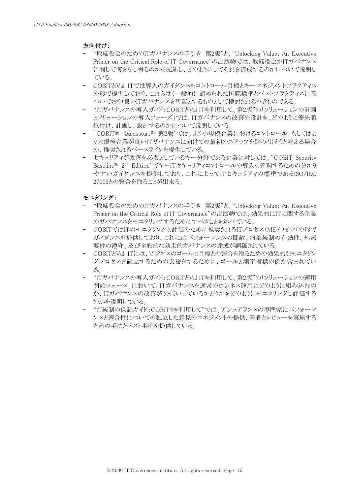# 方向付け:

- "取締役会のためのITガバナンスの手引き 第2版"と、"Unlocking Value: An Executive Primer on the Critical Role of IT Governance"の出版物では、取締役会がITガバナンス に関して何をなし得るのかを記述し、どのようにしてそれを達成するのかについて説明し ている。
- COBITとVal ITでは導入のガイダンスをコントロール目標とキーマネジメントプラクティス の形で提供しており、これらは(一般的に認められた国際標準とベストプラクティスに基 づいており)良いITガバナンスを可能とするものとして検討されるべきものである。
- "ITガバナンスの導入ガイド:COBITとVal ITを利用して、第2版"の「ソリューションの計画 とソリューションの導入フェーズ」では、ITガバナンスの改善の設計を、どのように優先順 位付け、計画し、設計するのかについて説明している。
- "COBIT® Quickstart™ 第2版"では、より小規模企業におけるコントロール、もしくはよ り大規模企業が良いITガバナンスに向けての最初のステップを踏み出そうと考える場合 の、推奨されるベースラインを提供している。
- セキュリティが改善を必要としているキー分野である企業に対しては、"COBIT Security Baseline™ 2nd Edition"でキーITセキュリティコントロールの導入を管理するための分かり やすいガイダンスを提供しており、これによってITセキュリティの標準であるISO/IEC 27002との整合を取ることが出来る。

# モニタリング:

- "取締役会のためのITガバナンスの手引き 第2版"と、"Unlocking Value: An Executive Primer on the Critical Role of IT Governance"の出版物では、効果的にITに関する企業 のガバナンスをモニタリングするためにすべきことを述べている。
- COBITではITのモニタリングと評価のために推奨されるITプロセス(MEドメイン)の形で ガイダンスを提供しており、これにはパフォーマンスの即敵、内部統制の有効性、外部 要件の遵守、及び全般的な効果的ガバナンスの達成が網羅されている。
- COBITとVal ITには、ビジネスのゴールと目標との整合を取るための効果的なモニタリン グプロセスを確立するための支援をするために、ゴールと測定指標の例が含まれてい る。
- "ITガバナンスの導入ガイド:COBITとVal ITを利用して、第2版"の「ソリューションの運用 開始フェーズ」において、ITガバナンスを通常のビジネス運用にどのように組み込むの か、ITガバナンスの改善がうまくいっているかどうかをどのようにモニタリングし評価する のかを説明している。
- "IT統制の保証ガイド:COBIT®を利用して"では、アシュアランスの専門家にパフォーマ ンスと適合性についての独立した意見のマネジメントの提供、監査とレビューを実施する ための手法とテスト事例を提供している。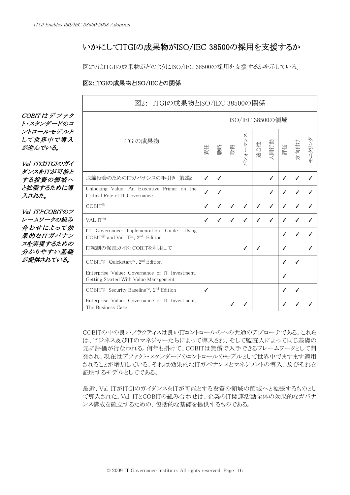# いかにしてITGIの成果物がISO/IEC 38500の採用を支援するか

図2ではITGIの成果物がどのようにISO/IEC 38500の採用を支援するかを示している。

# 図2:ITGIの成果物とISO/IECとの関係

図2: ITGIの成果物とISO/IEC 38500の関係 COBIT は デ フ <sup>ァ</sup> ク ISO/IEC 38500の領域 ト・スタンダードのコ ントロールモデルと パフォーマンス  $\ltimes$ モニタリング して世界中で導入 ITGIの成果物 ペンキートン 人間行動 方向付け 適合性 モニタリン 評価 が進んでいる。 責任 戦略 取得 Val ITはITGIのガイ ダンスをITが可能と 取締役会のためのITガバナンスの手引き 第2版 ┃ ✓ ┃ ✓ ┃ ノ ┃ ┃ ┃ ┃ ┃ ノ ┃ **✓ │ ✓ │ ✓** する投資の領域へ と拡張するために導 Unlocking Value: An Executive Primer on the Critical Role of IT Governance  $\begin{bmatrix} 1 & 2 \\ 2 & 3 \end{bmatrix}$   $\begin{bmatrix} 2 & 3 \\ 4 & 5 \end{bmatrix}$   $\begin{bmatrix} 2 & 3 \\ 0 & 1 \end{bmatrix}$   $\begin{bmatrix} 2 & 3 \\ 0 & 1 \end{bmatrix}$   $\begin{bmatrix} 2 & 3 \\ 0 & 1 \end{bmatrix}$   $\begin{bmatrix} 2 & 3 \\ 0 & 1 \end{bmatrix}$   $\begin{bmatrix} 2 & 3 \\ 0 & 1 \end{bmatrix}$   $\begin{bmatrix}$ 入された。 COBITⓇ ✓ ✓ ✓ ✓ ✓ ✓ ✓ ✓ ✓ Val ITとCOBITのフ レームワークの組み VAL IT™ ✓ ✓ ✓ ✓ ✓ ✓ ✓ ✓ ✓ 合わせによって効 IT Governance Implementation Guide: Using COBIT<sup>®</sup> and Val IT<sup>m</sup>, 2<sup>nd</sup> Edition  $\left| \begin{array}{ccc} 0 & 0 \\ 0 & 1 \end{array} \right|$ 果的なITガバナン スを実現するための IT統制の保証ガイド:COBITを利用して ✓ ✓ ✓ ✓ 分かりやすい基礎 が提供されている。 COBIT® Quickstart™, 2<sup>nd</sup> Edition  $\begin{vmatrix} \cdot & \cdot & \cdot \\ \cdot & \cdot & \cdot \\ \cdot & \cdot & \cdot \end{vmatrix}$   $\begin{vmatrix} \cdot & \cdot & \cdot \\ \cdot & \cdot & \cdot \\ \cdot & \cdot & \cdot \end{vmatrix}$   $\begin{vmatrix} \cdot & \cdot & \cdot \\ \cdot & \cdot & \cdot \\ \cdot & \cdot & \cdot \end{vmatrix}$   $\begin{vmatrix} \cdot & \cdot & \cdot \\ \cdot & \cdot & \cdot \\ \cdot & \cdot & \cdot \end{vmatrix}$ Enterprise Value: Governance of IT Investment. Cetting Started With Value Management COBIT® Security Baseline™, 2nd Edition ✓ ✓ ✓ Enterprise Value: Governance of IT Investment, The Business Case  $\left[\begin{array}{c|c} \cdot & \cdot & \cdot \\ \cdot & \cdot & \cdot \\ \cdot & \cdot & \cdot \\ \end{array}\right] \left[\begin{array}{c|c} \cdot & \cdot & \cdot \\ \cdot & \cdot & \cdot \\ \cdot & \cdot & \cdot \\ \cdot & \cdot & \cdot \end{array}\right] \left[\begin{array}{c|c} \cdot & \cdot & \cdot \\ \cdot & \cdot & \cdot \\ \cdot & \cdot & \cdot \end{array}\right] \left[\begin{array}{c|c} \cdot & \cdot & \cdot \\ \cdot & \cdot & \cdot \\ \cdot & \cdot & \cdot \end{array}\right] \left[\begin{array}{c|c} \cdot & \cdot$ 

> COBITの中の良いプラクティスは良いITコントロールのへの共通のアプローチである。これら は、ビジネス及びITのマネジャーたちによって導入され、そして監査人によって同じ基礎の 元に評価が行なわれる。何年も掛けて、COBITは無償で入手できるフレームワークとして開 発され、現在はデファクト・スタンダードのコントロールのモデルとして世界中でますます適用 されることが増加している。それは効果的なITガバナンスとマネジメントの導入、及びそれを 証明するモデルとしてである。

> 最近、Val ITがITGIのガイダンスをITが可能とする投資の領域の領域へと拡張するものとし て導入された。Val ITとCOBITの組み合わせは、企業のIT関連活動全体の効果的なガバナ ンス構成を確立するための、包括的な基礎を提供するものである。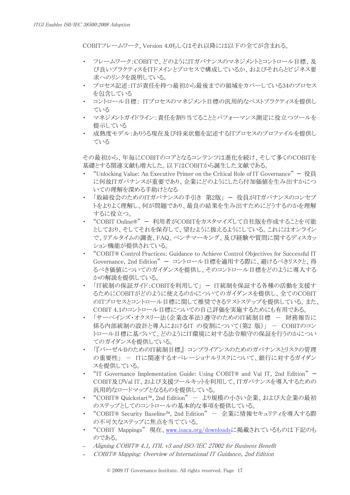COBITフレームワーク、Version 4.0もしくはそれ以降には以下の全てが含まれる。

- ・ フレームワーク:COBITで、どのようにITガバナンスのマネジメントとコントロール目標、及 び良いプラクティスをITドメインとプロセスで構成しているか、およびそれらとビジネス要 求へのリンクを説明している。
- ・ プロセス記述:ITが責任を持つ最初から最後までの領域をカバーしている34のプロセス を包含している
- ・ コントロール目標: ITプロセスのマネジメント目標の汎用的なベストプラクティスを提供し ている
- ・ マネジメントガイドライン:責任を割り当てることとパフォーマンス測定に役立つツールを 提示している
- ・ 成熟度モデル:ありうる現在及び将来状態を記述するITプロセスのプロファイルを提供し ている

その最初から、年毎にCOBITのコアとなるコンテンツは進化を続け、そして多くのCOBITを 基礎とする関連文献も増大した。以下はCOBITから誕生した文献である。

- "Unlocking Value: An Executive Primer on the Critical Role of IT Governance"  $\mathcal{R} \equiv$ に何故ITガバナンスが重要であり、企業にどのようにしたら付加価値を生み出すかにつ いての理解を深める手助けとなる
- 「取締役会のためのITガバナンスの手引き 第2版」 役員がITガバナンスのコンセプ トをよりよく理解し、何が問題であり、最良の結果を生み出すためにどうするのかを理解 するに役立つ。
- ・ "COBIT Online®" 利用者がCOBITをカスタマイズして自社版を作成することを可能 としており、そしてそれを保存して、望むように扱えるようにしている。これにはオンライン で、リアルタイムの調査、FAQ、ベンチマーキング、及び経験や質問に関するディスカッ ション機能が提供されている。
- ・ "COBIT® Control Practices: Guidance to Achieve Control Objectives for Successful IT Governance, 2nd Edition" — コントロール目標を適用する際に、避けるべきリスクと、得 るべき価値についてのガイダンスを提供し、そのコントロール目標をどのように導入する かの解説を提供している。
- ・ 「IT統制の保証ガイド:COBITを利用して」 IT統制を保証する各種の活動を支援す るためにCOBITがどのように使えるのかについてのガイダンスを提供し、全てのCOBIT のITプロセスとコントロール目標に関して推奨できるテストステップを提供している。また、 COBIT 4.1のコントロール目標についての自己評価を実施するためにも有用である。
- 「サーベインズ・オクスリー法(企業改革法)遵守のためのIT統制目標 財務報告に 係る内部統制の設計と導入におけるIT の役割について(第2版)」 - COBITのコン トロール目標に基づいて、どのようにIT環境に対する法令順守の保証を行うのかについ てのガイダンスを提供している。
- ・ 「『バーゼルIIのためのIT統制目標』 コンプライアンスのためのガバナンスとリスクの管理 の重要性」 - ITに関連するオペレーショナルリスクについて、銀行に対するガイダン スを提供している。
- "IT Governance Implementation Guide: Using COBIT® and Val IT, 2nd Edition"  $-$ COBIT及びVal IT、および支援ツールキットを利用して、ITガバナンスを導入するための 汎用的なロードマップとなるものを提供している。
- ・ "COBIT® Quickstart™, 2nd Edition" より規模の小さい企業、および大企業の最初 のステップとしてのコントロールの基本的な事項を提供している。
- "COBIT® Security Baseline™, 2nd Edition" − 企業に情報セキュリティを導入する際 の不可欠なステップに焦点を当てている。
- "COBIT Mappings" 現在、[www.isaca.org/downloadsに](http://www.isaca.org/downloads)掲載されているものは下記のも のである。
- Aligning COBIT® 4.1, ITIL v3 and ISO/IEC 27002 for Business Benefit
- COBIT® Mapping: Overview of International IT Guidance, 2nd Edition